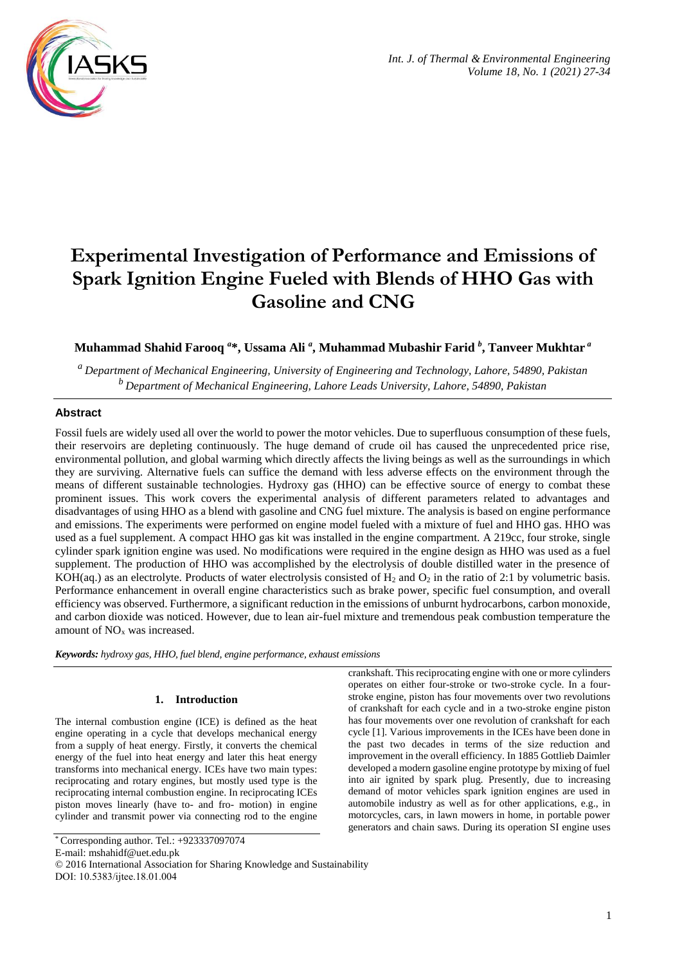

# **Experimental Investigation of Performance and Emissions of Spark Ignition Engine Fueled with Blends of HHO Gas with Gasoline and CNG**

# **Muhammad Shahid Farooq** *<sup>a</sup>* **\*, Ussama Ali** *<sup>a</sup>* **, Muhammad Mubashir Farid** *<sup>b</sup>* **, Tanveer Mukhtar** *<sup>a</sup>*

*<sup>a</sup>Department of Mechanical Engineering, University of Engineering and Technology, Lahore, 54890, Pakistan <sup>b</sup>Department of Mechanical Engineering, Lahore Leads University, Lahore, 54890, Pakistan*

# **Abstract**

Fossil fuels are widely used all over the world to power the motor vehicles. Due to superfluous consumption of these fuels, their reservoirs are depleting continuously. The huge demand of crude oil has caused the unprecedented price rise, environmental pollution, and global warming which directly affects the living beings as well as the surroundings in which they are surviving. Alternative fuels can suffice the demand with less adverse effects on the environment through the means of different sustainable technologies. Hydroxy gas (HHO) can be effective source of energy to combat these prominent issues. This work covers the experimental analysis of different parameters related to advantages and disadvantages of using HHO as a blend with gasoline and CNG fuel mixture. The analysis is based on engine performance and emissions. The experiments were performed on engine model fueled with a mixture of fuel and HHO gas. HHO was used as a fuel supplement. A compact HHO gas kit was installed in the engine compartment. A 219cc, four stroke, single cylinder spark ignition engine was used. No modifications were required in the engine design as HHO was used as a fuel supplement. The production of HHO was accomplished by the electrolysis of double distilled water in the presence of KOH(aq.) as an electrolyte. Products of water electrolysis consisted of  $H_2$  and  $O_2$  in the ratio of 2:1 by volumetric basis. Performance enhancement in overall engine characteristics such as brake power, specific fuel consumption, and overall efficiency was observed. Furthermore, a significant reduction in the emissions of unburnt hydrocarbons, carbon monoxide, and carbon dioxide was noticed. However, due to lean air-fuel mixture and tremendous peak combustion temperature the amount of  $NO<sub>x</sub>$  was increased.

*Keywords: hydroxy gas, HHO, fuel blend, engine performance, exhaust emissions*

# **1. Introduction**

The internal combustion engine (ICE) is defined as the heat engine operating in a cycle that develops mechanical energy from a supply of heat energy. Firstly, it converts the chemical energy of the fuel into heat energy and later this heat energy transforms into mechanical energy. ICEs have two main types: reciprocating and rotary engines, but mostly used type is the reciprocating internal combustion engine. In reciprocating ICEs piston moves linearly (have to- and fro- motion) in engine cylinder and transmit power via connecting rod to the engine

E-mail: mshahidf@uet.edu.pk

crankshaft. This reciprocating engine with one or more cylinders operates on either four-stroke or two-stroke cycle. In a fourstroke engine, piston has four movements over two revolutions of crankshaft for each cycle and in a two-stroke engine piston has four movements over one revolution of crankshaft for each cycle [1]. Various improvements in the ICEs have been done in the past two decades in terms of the size reduction and improvement in the overall efficiency. In 1885 Gottlieb Daimler developed a modern gasoline engine prototype by mixing of fuel into air ignited by spark plug. Presently, due to increasing demand of motor vehicles spark ignition engines are used in automobile industry as well as for other applications, e.g., in motorcycles, cars, in lawn mowers in home, in portable power generators and chain saws. During its operation SI engine uses

<sup>\*</sup> Corresponding author. Tel.: +923337097074

<sup>© 2016</sup> International Association for Sharing Knowledge and Sustainability DOI: 10.5383/ijtee.18.01.004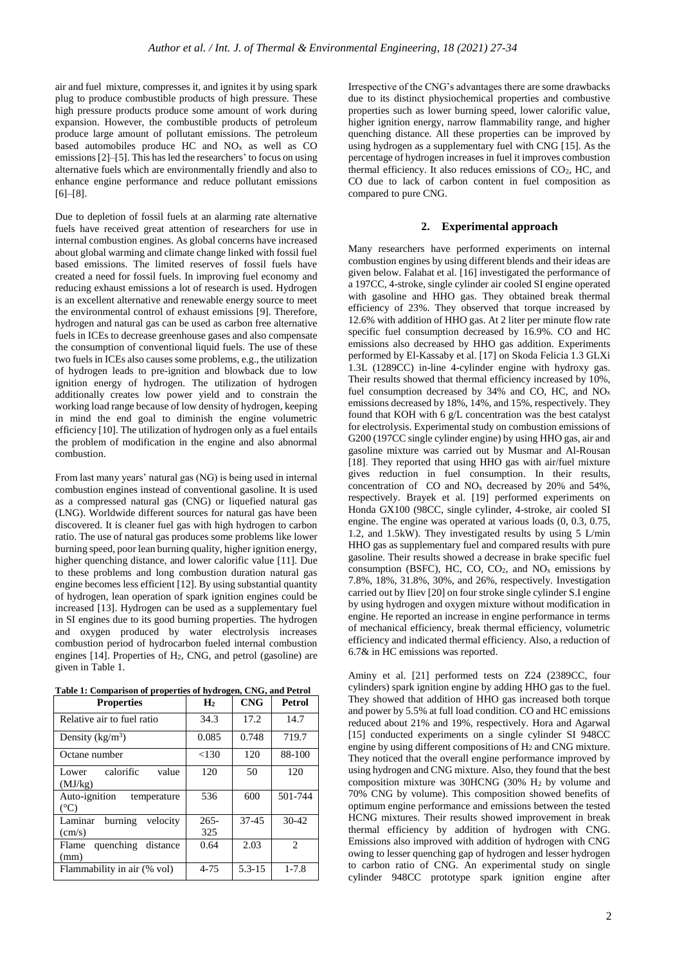air and fuel mixture, compresses it, and ignites it by using spark plug to produce combustible products of high pressure. These high pressure products produce some amount of work during expansion. However, the combustible products of petroleum produce large amount of pollutant emissions. The petroleum based automobiles produce HC and NO<sup>x</sup> as well as CO emissions [2]–[5]. This has led the researchers' to focus on using alternative fuels which are environmentally friendly and also to enhance engine performance and reduce pollutant emissions [6]–[8].

Due to depletion of fossil fuels at an alarming rate alternative fuels have received great attention of researchers for use in internal combustion engines. As global concerns have increased about global warming and climate change linked with fossil fuel based emissions. The limited reserves of fossil fuels have created a need for fossil fuels. In improving fuel economy and reducing exhaust emissions a lot of research is used. Hydrogen is an excellent alternative and renewable energy source to meet the environmental control of exhaust emissions [9]. Therefore, hydrogen and natural gas can be used as carbon free alternative fuels in ICEs to decrease greenhouse gases and also compensate the consumption of conventional liquid fuels. The use of these two fuels in ICEs also causes some problems, e.g., the utilization of hydrogen leads to pre-ignition and blowback due to low ignition energy of hydrogen. The utilization of hydrogen additionally creates low power yield and to constrain the working load range because of low density of hydrogen, keeping in mind the end goal to diminish the engine volumetric efficiency [10]. The utilization of hydrogen only as a fuel entails the problem of modification in the engine and also abnormal combustion.

From last many years' natural gas (NG) is being used in internal combustion engines instead of conventional gasoline. It is used as a compressed natural gas (CNG) or liquefied natural gas (LNG). Worldwide different sources for natural gas have been discovered. It is cleaner fuel gas with high hydrogen to carbon ratio. The use of natural gas produces some problems like lower burning speed, poor lean burning quality, higher ignition energy, higher quenching distance, and lower calorific value [11]. Due to these problems and long combustion duration natural gas engine becomes less efficient [12]. By using substantial quantity of hydrogen, lean operation of spark ignition engines could be increased [13]. Hydrogen can be used as a supplementary fuel in SI engines due to its good burning properties. The hydrogen and oxygen produced by water electrolysis increases combustion period of hydrocarbon fueled internal combustion engines [14]. Properties of H2, CNG, and petrol (gasoline) are given in Table 1.

|--|

| <b>Properties</b>                             | H <sub>2</sub> | <b>CNG</b> | <b>Petrol</b> |
|-----------------------------------------------|----------------|------------|---------------|
| Relative air to fuel ratio                    | 34.3           | 17.2       | 14.7          |
| Density $(kg/m^3)$                            | 0.085          | 0.748      | 719.7         |
| Octane number                                 | <130           | 120        | 88-100        |
| calorific<br>value<br>Lower<br>(MJ/kg)        | 120            | 50         | 120           |
| Auto-ignition<br>temperature<br>$(^{\circ}C)$ | 536            | 600        | 501-744       |
| burning<br>velocity<br>Laminar                | $265 -$        | $37 - 45$  | $30-42$       |
| $\text{(cm/s)}$                               | 325            |            |               |
| quenching distance<br>Flame<br>(mm)           | 0.64           | 2.03       | 2             |
| Flammability in air (% vol)                   | $4 - 75$       | $5.3 - 15$ | $1 - 7.8$     |

Irrespective of the CNG's advantages there are some drawbacks due to its distinct physiochemical properties and combustive properties such as lower burning speed, lower calorific value, higher ignition energy, narrow flammability range, and higher quenching distance. All these properties can be improved by using hydrogen as a supplementary fuel with CNG [15]. As the percentage of hydrogen increases in fuel it improves combustion thermal efficiency. It also reduces emissions of CO2, HC, and CO due to lack of carbon content in fuel composition as compared to pure CNG.

#### **2. Experimental approach**

Many researchers have performed experiments on internal combustion engines by using different blends and their ideas are given below. Falahat et al. [16] investigated the performance of a 197CC, 4-stroke, single cylinder air cooled SI engine operated with gasoline and HHO gas. They obtained break thermal efficiency of 23%. They observed that torque increased by 12.6% with addition of HHO gas. At 2 liter per minute flow rate specific fuel consumption decreased by 16.9%. CO and HC emissions also decreased by HHO gas addition. Experiments performed by El-Kassaby et al. [17] on Skoda Felicia 1.3 GLXi 1.3L (1289CC) in-line 4-cylinder engine with hydroxy gas. Their results showed that thermal efficiency increased by 10%, fuel consumption decreased by  $34\%$  and CO, HC, and NO<sub>x</sub> emissions decreased by 18%, 14%, and 15%, respectively. They found that KOH with 6 g/L concentration was the best catalyst for electrolysis. Experimental study on combustion emissions of G200 (197CC single cylinder engine) by using HHO gas, air and gasoline mixture was carried out by Musmar and Al-Rousan [18]. They reported that using HHO gas with air/fuel mixture gives reduction in fuel consumption. In their results, concentration of CO and NO<sup>x</sup> decreased by 20% and 54%, respectively. Brayek et al. [19] performed experiments on Honda GX100 (98CC, single cylinder, 4-stroke, air cooled SI engine. The engine was operated at various loads (0, 0.3, 0.75, 1.2, and 1.5kW). They investigated results by using 5 L/min HHO gas as supplementary fuel and compared results with pure gasoline. Their results showed a decrease in brake specific fuel consumption (BSFC), HC, CO, CO<sub>2</sub>, and  $NO<sub>x</sub>$  emissions by 7.8%, 18%, 31.8%, 30%, and 26%, respectively. Investigation carried out by Iliev [20] on four stroke single cylinder S.I engine by using hydrogen and oxygen mixture without modification in engine. He reported an increase in engine performance in terms of mechanical efficiency, break thermal efficiency, volumetric efficiency and indicated thermal efficiency. Also, a reduction of 6.7& in HC emissions was reported.

Aminy et al. [21] performed tests on Z24 (2389CC, four cylinders) spark ignition engine by adding HHO gas to the fuel. They showed that addition of HHO gas increased both torque and power by 5.5% at full load condition. CO and HC emissions reduced about 21% and 19%, respectively. Hora and Agarwal [15] conducted experiments on a single cylinder SI 948CC engine by using different compositions of H<sup>2</sup> and CNG mixture. They noticed that the overall engine performance improved by using hydrogen and CNG mixture. Also, they found that the best composition mixture was 30HCNG (30% H<sup>2</sup> by volume and 70% CNG by volume). This composition showed benefits of optimum engine performance and emissions between the tested HCNG mixtures. Their results showed improvement in break thermal efficiency by addition of hydrogen with CNG. Emissions also improved with addition of hydrogen with CNG owing to lesser quenching gap of hydrogen and lesser hydrogen to carbon ratio of CNG. An experimental study on single cylinder 948CC prototype spark ignition engine after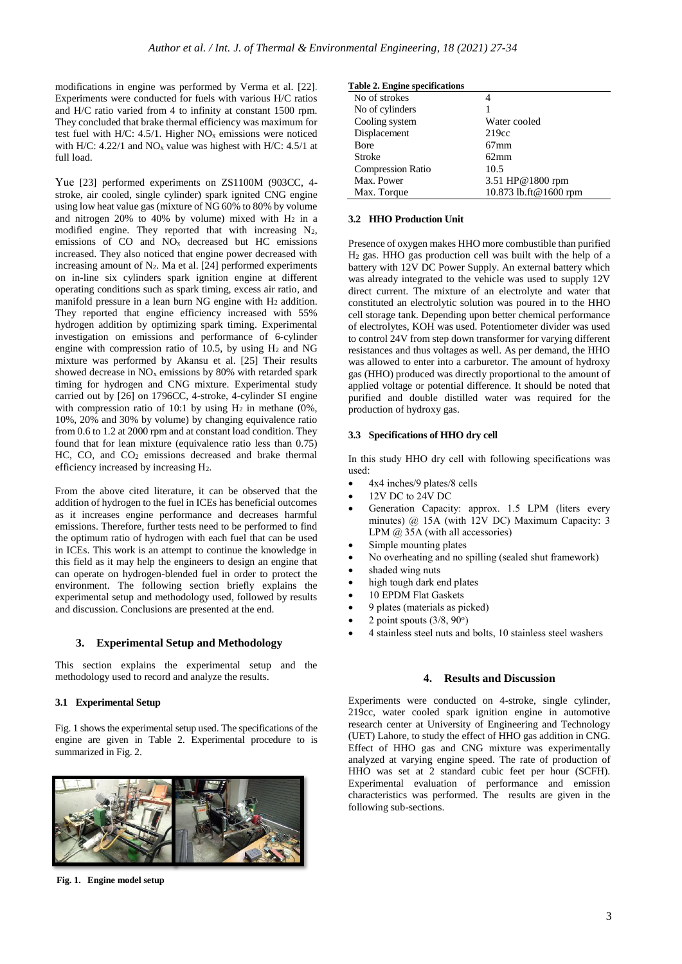modifications in engine was performed by Verma et al. [22]. Experiments were conducted for fuels with various H/C ratios and H/C ratio varied from 4 to infinity at constant 1500 rpm. They concluded that brake thermal efficiency was maximum for test fuel with H/C:  $4.5/1$ . Higher NO<sub>x</sub> emissions were noticed with H/C: 4.22/1 and  $NO<sub>x</sub>$  value was highest with H/C: 4.5/1 at full load.

Yue [23] performed experiments on ZS1100M (903CC, 4 stroke, air cooled, single cylinder) spark ignited CNG engine using low heat value gas (mixture of NG 60% to 80% by volume and nitrogen 20% to 40% by volume) mixed with  $H_2$  in a modified engine. They reported that with increasing N2, emissions of CO and NO<sup>x</sup> decreased but HC emissions increased. They also noticed that engine power decreased with increasing amount of N2. Ma et al. [24] performed experiments on in-line six cylinders spark ignition engine at different operating conditions such as spark timing, excess air ratio, and manifold pressure in a lean burn NG engine with H<sub>2</sub> addition. They reported that engine efficiency increased with 55% hydrogen addition by optimizing spark timing. Experimental investigation on emissions and performance of 6-cylinder engine with compression ratio of 10.5, by using H<sup>2</sup> and NG mixture was performed by Akansu et al. [25] Their results showed decrease in  $NO<sub>x</sub>$  emissions by 80% with retarded spark timing for hydrogen and CNG mixture. Experimental study carried out by [26] on 1796CC, 4-stroke, 4-cylinder SI engine with compression ratio of 10:1 by using  $H_2$  in methane (0%, 10%, 20% and 30% by volume) by changing equivalence ratio from 0.6 to 1.2 at 2000 rpm and at constant load condition. They found that for lean mixture (equivalence ratio less than 0.75) HC, CO, and CO<sup>2</sup> emissions decreased and brake thermal efficiency increased by increasing H2.

From the above cited literature, it can be observed that the addition of hydrogen to the fuel in ICEs has beneficial outcomes as it increases engine performance and decreases harmful emissions. Therefore, further tests need to be performed to find the optimum ratio of hydrogen with each fuel that can be used in ICEs. This work is an attempt to continue the knowledge in this field as it may help the engineers to design an engine that can operate on hydrogen-blended fuel in order to protect the environment. The following section briefly explains the experimental setup and methodology used, followed by results and discussion. Conclusions are presented at the end.

# **3. Experimental Setup and Methodology**

This section explains the experimental setup and the methodology used to record and analyze the results.

#### **3.1 Experimental Setup**

Fig. 1 shows the experimental setup used. The specifications of the engine are given in Table 2. Experimental procedure to is summarized in Fig. 2.



**Fig. 1. Engine model setup**

|  |  | Table 2. Engine specifications |
|--|--|--------------------------------|
|--|--|--------------------------------|

| Water cooled          |
|-----------------------|
| 219cc                 |
| $67$ mm               |
| 62mm                  |
| 10.5                  |
| 3.51 HP@1800 rpm      |
| 10.873 lb.ft@1600 rpm |
|                       |

#### **3.2 HHO Production Unit**

Presence of oxygen makes HHO more combustible than purified H<sup>2</sup> gas. HHO gas production cell was built with the help of a battery with 12V DC Power Supply. An external battery which was already integrated to the vehicle was used to supply 12V direct current. The mixture of an electrolyte and water that constituted an electrolytic solution was poured in to the HHO cell storage tank. Depending upon better chemical performance of electrolytes, KOH was used. Potentiometer divider was used to control 24V from step down transformer for varying different resistances and thus voltages as well. As per demand, the HHO was allowed to enter into a carburetor. The amount of hydroxy gas (HHO) produced was directly proportional to the amount of applied voltage or potential difference. It should be noted that purified and double distilled water was required for the production of hydroxy gas.

#### **3.3 Specifications of HHO dry cell**

In this study HHO dry cell with following specifications was used:

- 4x4 inches/9 plates/8 cells
- 12V DC to 24V DC
- Generation Capacity: approx. 1.5 LPM (liters every minutes) @ 15A (with 12V DC) Maximum Capacity: 3 LPM @ 35A (with all accessories)
- Simple mounting plates
- No overheating and no spilling (sealed shut framework)
- shaded wing nuts
- high tough dark end plates
- 10 EPDM Flat Gaskets
- 9 plates (materials as picked)
- $\bullet$  2 point spouts  $(3/8, 90^{\circ})$
- 4 stainless steel nuts and bolts, 10 stainless steel washers

#### **4. Results and Discussion**

Experiments were conducted on 4-stroke, single cylinder, 219cc, water cooled spark ignition engine in automotive research center at University of Engineering and Technology (UET) Lahore, to study the effect of HHO gas addition in CNG. Effect of HHO gas and CNG mixture was experimentally analyzed at varying engine speed. The rate of production of HHO was set at 2 standard cubic feet per hour (SCFH). Experimental evaluation of performance and emission characteristics was performed. The results are given in the following sub-sections.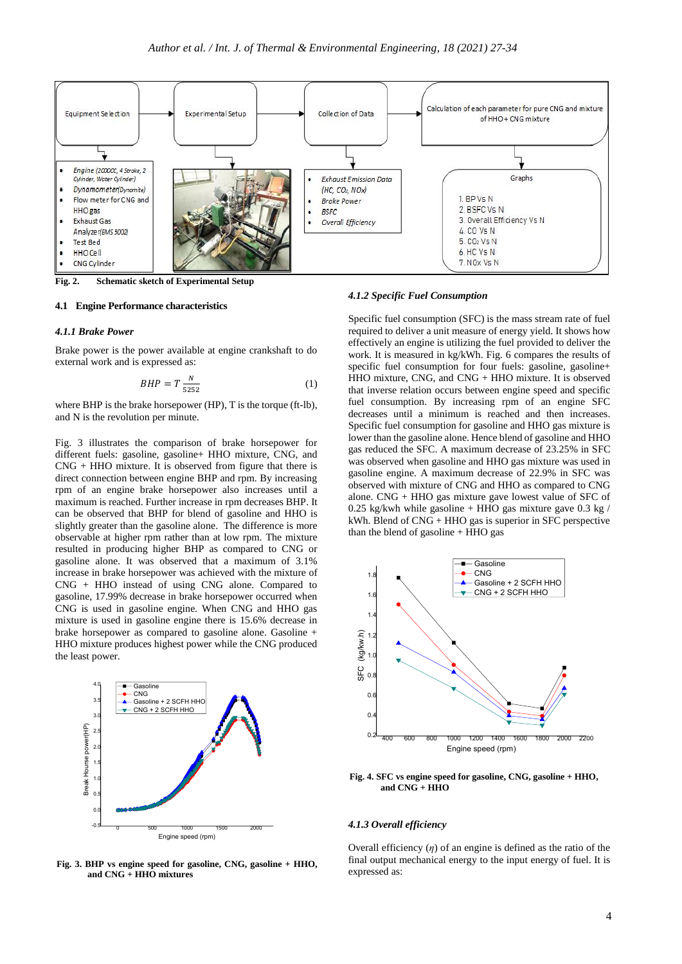

**Fig. 2. Schematic sketch of Experimental Setup**

#### **4.1 Engine Performance characteristics**

#### *4.1.1 Brake Power*

Brake power is the power available at engine crankshaft to do external work and is expressed as:

$$
BHP = T \frac{N}{5252} \tag{1}
$$

where BHP is the brake horsepower (HP), T is the torque (ft-lb), and N is the revolution per minute.

Fig. 3 illustrates the comparison of brake horsepower for different fuels: gasoline, gasoline+ HHO mixture, CNG, and CNG + HHO mixture. It is observed from figure that there is direct connection between engine BHP and rpm. By increasing rpm of an engine brake horsepower also increases until a maximum is reached. Further increase in rpm decreases BHP. It can be observed that BHP for blend of gasoline and HHO is slightly greater than the gasoline alone. The difference is more observable at higher rpm rather than at low rpm. The mixture resulted in producing higher BHP as compared to CNG or gasoline alone. It was observed that a maximum of 3.1% increase in brake horsepower was achieved with the mixture of CNG + HHO instead of using CNG alone. Compared to gasoline, 17.99% decrease in brake horsepower occurred when CNG is used in gasoline engine. When CNG and HHO gas mixture is used in gasoline engine there is 15.6% decrease in brake horsepower as compared to gasoline alone. Gasoline + HHO mixture produces highest power while the CNG produced the least power.



**Fig. 3. BHP vs engine speed for gasoline, CNG, gasoline + HHO, and CNG + HHO mixtures**

#### *4.1.2 Specific Fuel Consumption*

Specific fuel consumption (SFC) is the mass stream rate of fuel required to deliver a unit measure of energy yield. It shows how effectively an engine is utilizing the fuel provided to deliver the work. It is measured in kg/kWh. Fig. 6 compares the results of specific fuel consumption for four fuels: gasoline, gasoline+ HHO mixture, CNG, and CNG + HHO mixture. It is observed that inverse relation occurs between engine speed and specific fuel consumption. By increasing rpm of an engine SFC decreases until a minimum is reached and then increases. Specific fuel consumption for gasoline and HHO gas mixture is lower than the gasoline alone. Hence blend of gasoline and HHO gas reduced the SFC. A maximum decrease of 23.25% in SFC was observed when gasoline and HHO gas mixture was used in gasoline engine. A maximum decrease of 22.9% in SFC was observed with mixture of CNG and HHO as compared to CNG alone. CNG + HHO gas mixture gave lowest value of SFC of 0.25 kg/kwh while gasoline + HHO gas mixture gave 0.3 kg / kWh. Blend of CNG + HHO gas is superior in SFC perspective than the blend of gasoline + HHO gas



**Fig. 4. SFC vs engine speed for gasoline, CNG, gasoline + HHO, and CNG + HHO**

#### *4.1.3 Overall efficiency*

Overall efficiency  $(\eta)$  of an engine is defined as the ratio of the final output mechanical energy to the input energy of fuel. It is expressed as: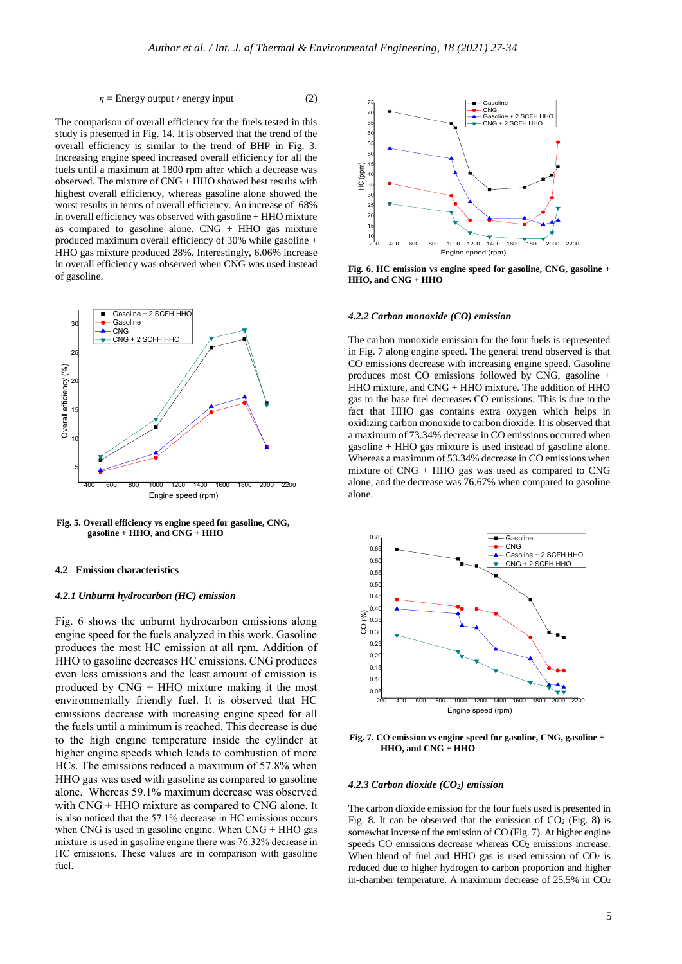$$
\eta = \text{Energy output} / \text{energy input} \tag{2}
$$

The comparison of overall efficiency for the fuels tested in this study is presented in Fig. 14. It is observed that the trend of the overall efficiency is similar to the trend of BHP in Fig. 3. Increasing engine speed increased overall efficiency for all the fuels until a maximum at 1800 rpm after which a decrease was observed. The mixture of CNG + HHO showed best results with highest overall efficiency, whereas gasoline alone showed the worst results in terms of overall efficiency. An increase of 68% in overall efficiency was observed with gasoline + HHO mixture as compared to gasoline alone.  $CNG + HHO$  gas mixture produced maximum overall efficiency of 30% while gasoline + HHO gas mixture produced 28%. Interestingly, 6.06% increase in overall efficiency was observed when CNG was used instead of gasoline.



**Fig. 5. Overall efficiency vs engine speed for gasoline, CNG, gasoline + HHO, and CNG + HHO**

# **4.2 Emission characteristics**

#### *4.2.1 Unburnt hydrocarbon (HC) emission*

Fig. 6 shows the unburnt hydrocarbon emissions along engine speed for the fuels analyzed in this work. Gasoline produces the most HC emission at all rpm. Addition of HHO to gasoline decreases HC emissions. CNG produces even less emissions and the least amount of emission is produced by CNG + HHO mixture making it the most environmentally friendly fuel. It is observed that HC emissions decrease with increasing engine speed for all the fuels until a minimum is reached. This decrease is due to the high engine temperature inside the cylinder at higher engine speeds which leads to combustion of more HCs. The emissions reduced a maximum of 57.8% when HHO gas was used with gasoline as compared to gasoline alone. Whereas 59.1% maximum decrease was observed with CNG + HHO mixture as compared to CNG alone. It is also noticed that the 57.1% decrease in HC emissions occurs when CNG is used in gasoline engine. When CNG + HHO gas mixture is used in gasoline engine there was 76.32% decrease in HC emissions. These values are in comparison with gasoline fuel.



**Fig. 6. HC emission vs engine speed for gasoline, CNG, gasoline + HHO, and CNG + HHO**

#### *4.2.2 Carbon monoxide (CO) emission*

The carbon monoxide emission for the four fuels is represented in Fig. 7 along engine speed. The general trend observed is that CO emissions decrease with increasing engine speed. Gasoline produces most CO emissions followed by CNG, gasoline + HHO mixture, and CNG + HHO mixture. The addition of HHO gas to the base fuel decreases CO emissions. This is due to the fact that HHO gas contains extra oxygen which helps in oxidizing carbon monoxide to carbon dioxide. It is observed that a maximum of 73.34% decrease in CO emissions occurred when gasoline + HHO gas mixture is used instead of gasoline alone. Whereas a maximum of 53.34% decrease in CO emissions when mixture of CNG + HHO gas was used as compared to CNG alone, and the decrease was 76.67% when compared to gasoline alone.



**Fig. 7. CO emission vs engine speed for gasoline, CNG, gasoline + HHO, and CNG + HHO**

#### *4.2.3 Carbon dioxide (CO2) emission*

The carbon dioxide emission for the four fuels used is presented in Fig. 8. It can be observed that the emission of  $CO<sub>2</sub>$  (Fig. 8) is somewhat inverse of the emission of CO (Fig. 7). At higher engine speeds CO emissions decrease whereas CO<sub>2</sub> emissions increase. When blend of fuel and HHO gas is used emission of  $CO<sub>2</sub>$  is reduced due to higher hydrogen to carbon proportion and higher in-chamber temperature. A maximum decrease of  $25.5\%$  in  $CO<sub>2</sub>$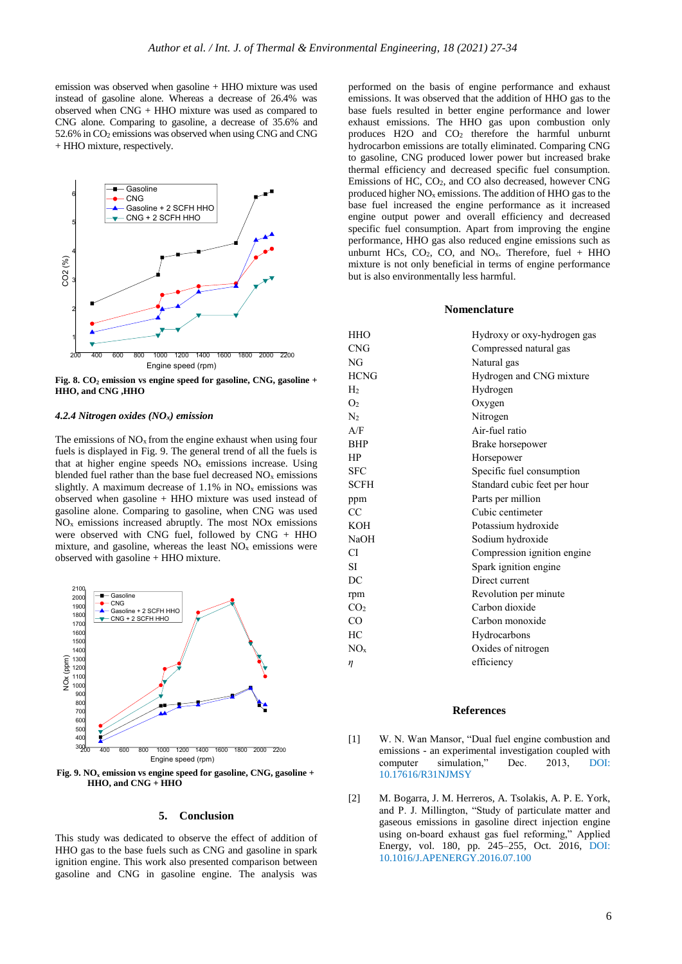emission was observed when gasoline + HHO mixture was used instead of gasoline alone. Whereas a decrease of 26.4% was observed when CNG + HHO mixture was used as compared to CNG alone. Comparing to gasoline, a decrease of 35.6% and 52.6% in CO<sup>2</sup> emissions was observed when using CNG and CNG + HHO mixture, respectively.



**Fig. 8. CO<sup>2</sup> emission vs engine speed for gasoline, CNG, gasoline + HHO, and CNG ,HHO**

#### *4.2.4 Nitrogen oxides (NOx) emission*

The emissions of  $NO<sub>x</sub>$  from the engine exhaust when using four fuels is displayed in Fig. 9. The general trend of all the fuels is that at higher engine speeds  $NO<sub>x</sub>$  emissions increase. Using blended fuel rather than the base fuel decreased NO<sup>x</sup> emissions slightly. A maximum decrease of  $1.1\%$  in NO<sub>x</sub> emissions was observed when gasoline + HHO mixture was used instead of gasoline alone. Comparing to gasoline, when CNG was used  $NO<sub>x</sub>$  emissions increased abruptly. The most NOx emissions were observed with CNG fuel, followed by CNG + HHO mixture, and gasoline, whereas the least  $NO<sub>x</sub>$  emissions were observed with gasoline + HHO mixture.



**Fig. 9. NO<sup>x</sup> emission vs engine speed for gasoline, CNG, gasoline + HHO, and CNG + HHO**

#### **5. Conclusion**

This study was dedicated to observe the effect of addition of HHO gas to the base fuels such as CNG and gasoline in spark ignition engine. This work also presented comparison between gasoline and CNG in gasoline engine. The analysis was

performed on the basis of engine performance and exhaust emissions. It was observed that the addition of HHO gas to the base fuels resulted in better engine performance and lower exhaust emissions. The HHO gas upon combustion only produces H2O and CO<sup>2</sup> therefore the harmful unburnt hydrocarbon emissions are totally eliminated. Comparing CNG to gasoline, CNG produced lower power but increased brake thermal efficiency and decreased specific fuel consumption. Emissions of HC, CO2, and CO also decreased, however CNG produced higher  $NO<sub>x</sub>$  emissions. The addition of HHO gas to the base fuel increased the engine performance as it increased engine output power and overall efficiency and decreased specific fuel consumption. Apart from improving the engine performance, HHO gas also reduced engine emissions such as unburnt HCs,  $CO<sub>2</sub>$ ,  $CO<sub>2</sub>$ , and  $NO<sub>x</sub>$ . Therefore, fuel + HHO mixture is not only beneficial in terms of engine performance but is also environmentally less harmful.

#### **Nomenclature**

| <b>HHO</b>      | Hydroxy or oxy-hydrogen gas  |
|-----------------|------------------------------|
| <b>CNG</b>      | Compressed natural gas       |
| NG              | Natural gas                  |
| <b>HCNG</b>     | Hydrogen and CNG mixture     |
| H <sub>2</sub>  | Hydrogen                     |
| O <sub>2</sub>  | Oxygen                       |
| $\rm N_2$       | Nitrogen                     |
| A/F             | Air-fuel ratio               |
| <b>BHP</b>      | Brake horsepower             |
| HP              | Horsepower                   |
| <b>SFC</b>      | Specific fuel consumption    |
| <b>SCFH</b>     | Standard cubic feet per hour |
| ppm             | Parts per million            |
| CC              | Cubic centimeter             |
| <b>KOH</b>      | Potassium hydroxide          |
| <b>NaOH</b>     | Sodium hydroxide             |
| СI              | Compression ignition engine  |
| <b>SI</b>       | Spark ignition engine        |
| DC              | Direct current               |
| rpm             | Revolution per minute        |
| CO <sub>2</sub> | Carbon dioxide               |
| CO              | Carbon monoxide              |
| HC              | Hydrocarbons                 |
| NO <sub>x</sub> | Oxides of nitrogen           |
| η               | efficiency                   |

### **References**

- [1] W. N. Wan Mansor, "Dual fuel engine combustion and emissions - an experimental investigation coupled with computer simulation," Dec. 2013, DOI: 10.17616/R31NJMSY
- [2] M. Bogarra, J. M. Herreros, A. Tsolakis, A. P. E. York, and P. J. Millington, "Study of particulate matter and gaseous emissions in gasoline direct injection engine using on-board exhaust gas fuel reforming," Applied Energy, vol. 180, pp. 245–255, Oct. 2016, DOI: 10.1016/J.APENERGY.2016.07.100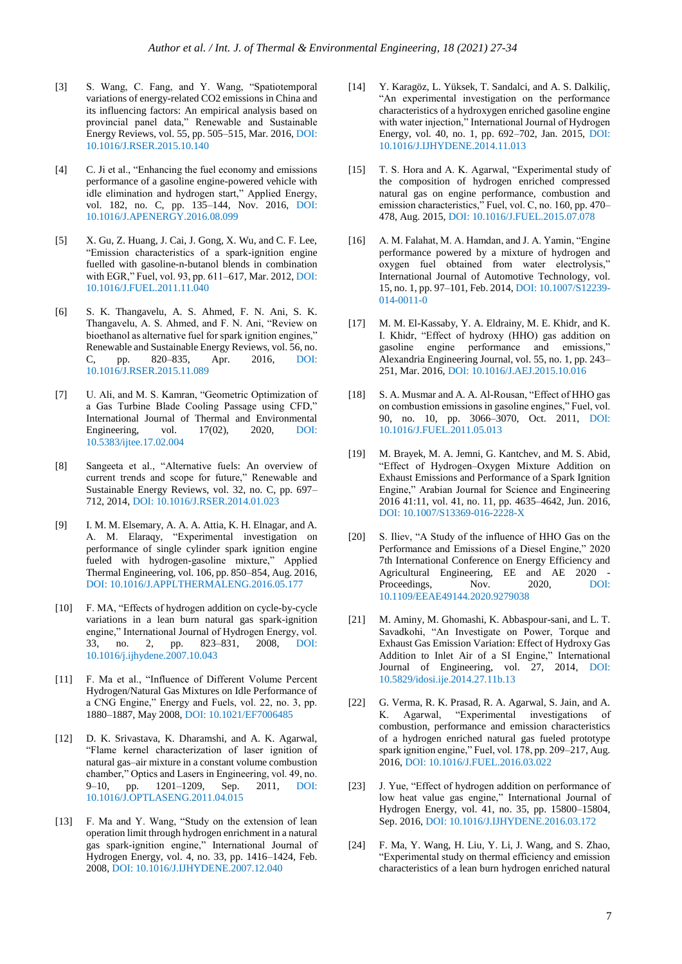- [3] S. Wang, C. Fang, and Y. Wang, "Spatiotemporal variations of energy-related CO2 emissions in China and its influencing factors: An empirical analysis based on provincial panel data," Renewable and Sustainable Energy Reviews, vol. 55, pp. 505–515, Mar. 2016, DOI: 10.1016/J.RSER.2015.10.140
- [4] C. Ji et al., "Enhancing the fuel economy and emissions performance of a gasoline engine-powered vehicle with idle elimination and hydrogen start," Applied Energy, vol. 182, no. C, pp. 135–144, Nov. 2016, DOI: 10.1016/J.APENERGY.2016.08.099
- [5] X. Gu, Z. Huang, J. Cai, J. Gong, X. Wu, and C. F. Lee, "Emission characteristics of a spark-ignition engine fuelled with gasoline-n-butanol blends in combination with EGR," Fuel, vol. 93, pp. 611–617, Mar. 2012, DOI: 10.1016/J.FUEL.2011.11.040
- [6] S. K. Thangavelu, A. S. Ahmed, F. N. Ani, S. K. Thangavelu, A. S. Ahmed, and F. N. Ani, "Review on bioethanol as alternative fuel for spark ignition engines," Renewable and Sustainable Energy Reviews, vol. 56, no. C, pp. 820–835, Apr. 2016, DOI: 10.1016/J.RSER.2015.11.089
- [7] U. Ali, and M. S. Kamran, "Geometric Optimization of a Gas Turbine Blade Cooling Passage using CFD," International Journal of Thermal and Environmental<br>Engineering, vol. 17(02), 2020, DOI: Engineering, vol. 10.5383/ijtee.17.02.004
- [8] Sangeeta et al., "Alternative fuels: An overview of current trends and scope for future," Renewable and Sustainable Energy Reviews, vol. 32, no. C, pp. 697– 712, 2014, DOI: 10.1016/J.RSER.2014.01.023
- [9] I. M. M. Elsemary, A. A. A. Attia, K. H. Elnagar, and A. A. M. Elaraqy, "Experimental investigation on performance of single cylinder spark ignition engine fueled with hydrogen-gasoline mixture," Applied Thermal Engineering, vol. 106, pp. 850–854, Aug. 2016, DOI: 10.1016/J.APPLTHERMALENG.2016.05.177
- [10] F. MA, "Effects of hydrogen addition on cycle-by-cycle variations in a lean burn natural gas spark-ignition engine," International Journal of Hydrogen Energy, vol. 33, no. 2, pp. 823–831, 2008, DOI: 10.1016/j.ijhydene.2007.10.043
- [11] F. Ma et al., "Influence of Different Volume Percent Hydrogen/Natural Gas Mixtures on Idle Performance of a CNG Engine," Energy and Fuels, vol. 22, no. 3, pp. 1880–1887, May 2008, DOI: 10.1021/EF7006485
- [12] D. K. Srivastava, K. Dharamshi, and A. K. Agarwal, "Flame kernel characterization of laser ignition of natural gas–air mixture in a constant volume combustion chamber," Optics and Lasers in Engineering, vol. 49, no. 9–10, pp. 1201–1209, Sep. 2011, DOI: 10.1016/J.OPTLASENG.2011.04.015
- [13] F. Ma and Y. Wang, "Study on the extension of lean operation limit through hydrogen enrichment in a natural gas spark-ignition engine," International Journal of Hydrogen Energy, vol. 4, no. 33, pp. 1416–1424, Feb. 2008, DOI: 10.1016/J.IJHYDENE.2007.12.040
- [14] Y. Karagöz, L. Yüksek, T. Sandalci, and A. S. Dalkilic, "An experimental investigation on the performance characteristics of a hydroxygen enriched gasoline engine with water injection," International Journal of Hydrogen Energy, vol. 40, no. 1, pp. 692–702, Jan. 2015, DOI: 10.1016/J.IJHYDENE.2014.11.013
- [15] T. S. Hora and A. K. Agarwal, "Experimental study of the composition of hydrogen enriched compressed natural gas on engine performance, combustion and emission characteristics," Fuel, vol. C, no. 160, pp. 470– 478, Aug. 2015, DOI: 10.1016/J.FUEL.2015.07.078
- [16] A. M. Falahat, M. A. Hamdan, and J. A. Yamin, "Engine performance powered by a mixture of hydrogen and oxygen fuel obtained from water electrolysis," International Journal of Automotive Technology, vol. 15, no. 1, pp. 97–101, Feb. 2014, DOI: 10.1007/S12239- 014-0011-0
- [17] M. M. El-Kassaby, Y. A. Eldrainy, M. E. Khidr, and K. I. Khidr, "Effect of hydroxy (HHO) gas addition on gasoline engine performance and emissions," Alexandria Engineering Journal, vol. 55, no. 1, pp. 243– 251, Mar. 2016, DOI: 10.1016/J.AEJ.2015.10.016
- [18] S. A. Musmar and A. A. Al-Rousan, "Effect of HHO gas on combustion emissions in gasoline engines," Fuel, vol. 90, no. 10, pp. 3066–3070, Oct. 2011, DOI: 10.1016/J.FUEL.2011.05.013
- [19] M. Brayek, M. A. Jemni, G. Kantchev, and M. S. Abid, "Effect of Hydrogen–Oxygen Mixture Addition on Exhaust Emissions and Performance of a Spark Ignition Engine," Arabian Journal for Science and Engineering 2016 41:11, vol. 41, no. 11, pp. 4635–4642, Jun. 2016, DOI: 10.1007/S13369-016-2228-X
- [20] S. Iliev, "A Study of the influence of HHO Gas on the Performance and Emissions of a Diesel Engine," 2020 7th International Conference on Energy Efficiency and Agricultural Engineering, EE and AE 2020 - Proceedings, Nov. 2020, DOI: 10.1109/EEAE49144.2020.9279038
- [21] M. Aminy, M. Ghomashi, K. Abbaspour-sani, and L. T. Savadkohi, "An Investigate on Power, Torque and Exhaust Gas Emission Variation: Effect of Hydroxy Gas Addition to Inlet Air of a SI Engine," International Journal of Engineering, vol. 27, 2014, DOI: 10.5829/idosi.ije.2014.27.11b.13
- [22] G. Verma, R. K. Prasad, R. A. Agarwal, S. Jain, and A. K. Agarwal, "Experimental investigations of combustion, performance and emission characteristics of a hydrogen enriched natural gas fueled prototype spark ignition engine," Fuel, vol. 178, pp. 209–217, Aug. 2016, DOI: 10.1016/J.FUEL.2016.03.022
- [23] J. Yue, "Effect of hydrogen addition on performance of low heat value gas engine," International Journal of Hydrogen Energy, vol. 41, no. 35, pp. 15800–15804, Sep. 2016, DOI: 10.1016/J.IJHYDENE.2016.03.172
- [24] F. Ma, Y. Wang, H. Liu, Y. Li, J. Wang, and S. Zhao, "Experimental study on thermal efficiency and emission characteristics of a lean burn hydrogen enriched natural